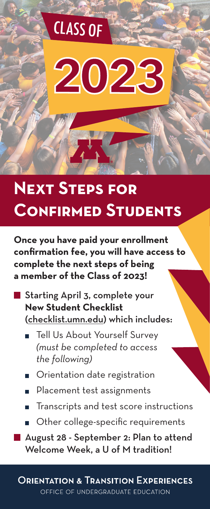# 2023

CLASS OF

# **Next Steps for Confirmed Students**

**Once you have paid your enrollment confirmation fee, you will have access to complete the next steps of being a member of the Class of 2023!**

- Starting April 3, complete your **New Student Checklist** (checklist.umn.edu) which includes:
	- Tell Us About Yourself Survey *(must be completed to access the following)*
	- Orientation date registration
	- Placement test assignments  $\blacksquare$
	- Transcripts and test score instructions
	- Other college-specific requirements
	- August 28 September 2: Plan to attend Welcome Week, a U of M tradition!

**ORIENTATION & TRANSITION EXPERIENCES** OFFICE OF UNDERGRADUATE EDUCATION